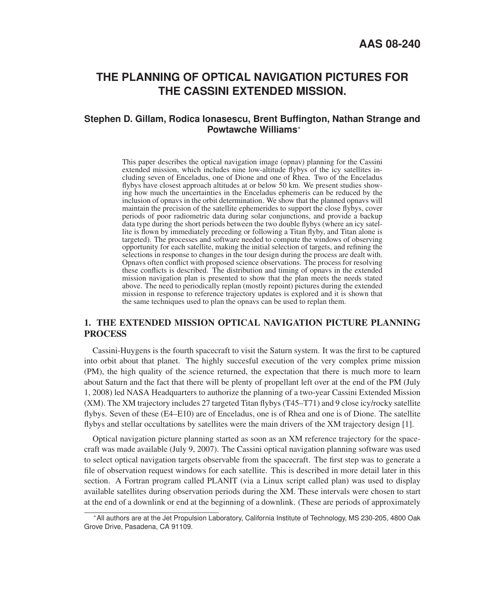# **THE PLANNING OF OPTICAL NAVIGATION PICTURES FOR THE CASSINI EXTENDED MISSION.**

## **Stephen D. Gillam, Rodica Ionasescu, Brent Buffington, Nathan Strange and Powtawche Williams**<sup>∗</sup>

This paper describes the optical navigation image (opnav) planning for the Cassini extended mission, which includes nine low-altitude flybys of the icy satellites including seven of Enceladus, one of Dione and one of Rhea. Two of the Enceladus flybys have closest approach altitudes at or below 50 km. We present studies showing how much the uncertainties in the Enceladus ephemeris can be reduced by the inclusion of opnavs in the orbit determination. We show that the planned opnavs will maintain the precision of the satellite ephemerides to support the close flybys, cover periods of poor radiometric data during solar conjunctions, and provide a backup data type during the short periods between the two double flybys (where an icy satellite is flown by immediately preceding or following a Titan flyby, and Titan alone is targeted). The processes and software needed to compute the windows of observing opportunity for each satellite, making the initial selection of targets, and refining the selections in response to changes in the tour design during the process are dealt with. Opnavs often conflict with proposed science observations. The process for resolving these conflicts is described. The distribution and timing of opnavs in the extended mission navigation plan is presented to show that the plan meets the needs stated above. The need to periodically replan (mostly repoint) pictures during the extended mission in response to reference trajectory updates is explored and it is shown that the same techniques used to plan the opnavs can be used to replan them.

## 1. THE EXTENDED MISSION OPTICAL NAVIGATION PICTURE PLANNING **PROCESS**

Cassini-Huygens is the fourth spacecraft to visit the Saturn system. It was the first to be captured into orbit about that planet. The highly succesful execution of the very complex prime mission (PM), the high quality of the science returned, the expectation that there is much more to learn about Saturn and the fact that there will be plenty of propellant left over at the end of the PM (July 1, 2008) led NASA Headquarters to authorize the planning of a two-year Cassini Extended Mission (XM). The XM trajectory includes 27 targeted Titan flybys (T45–T71) and 9 close icy/rocky satellite flybys. Seven of these (E4–E10) are of Enceladus, one is of Rhea and one is of Dione. The satellite flybys and stellar occultations by satellites were the main drivers of the XM trajectory design [1].

Optical navigation picture planning started as soon as an XM reference trajectory for the spacecraft was made available (July 9, 2007). The Cassini optical navigation planning software was used to select optical navigation targets observable from the spacecraft. The first step was to generate a file of observation request windows for each satellite. This is described in more detail later in this section. A Fortran program called PLANIT (via a Linux script called plan) was used to display available satellites during observation periods during the XM. These intervals were chosen to start at the end of a downlink or end at the beginning of a downlink. (These are periods of approximately

<sup>∗</sup>All authors are at the Jet Propulsion Laboratory, California Institute of Technology, MS 230-205, 4800 Oak Grove Drive, Pasadena, CA 91109.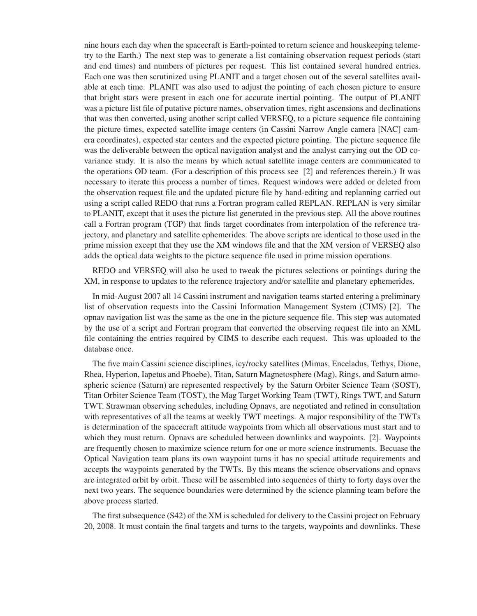nine hours each day when the spacecraft is Earth-pointed to return science and houskeeping telemetry to the Earth.) The next step was to generate a list containing observation request periods (start and end times) and numbers of pictures per request. This list contained several hundred entries. Each one was then scrutinized using PLANIT and a target chosen out of the several satellites available at each time. PLANIT was also used to adjust the pointing of each chosen picture to ensure that bright stars were present in each one for accurate inertial pointing. The output of PLANIT was a picture list file of putative picture names, observation times, right ascensions and declinations that was then converted, using another script called VERSEQ, to a picture sequence file containing the picture times, expected satellite image centers (in Cassini Narrow Angle camera [NAC] camera coordinates), expected star centers and the expected picture pointing. The picture sequence file was the deliverable between the optical navigation analyst and the analyst carrying out the OD covariance study. It is also the means by which actual satellite image centers are communicated to the operations OD team. (For a description of this process see [2] and references therein.) It was necessary to iterate this process a number of times. Request windows were added or deleted from the observation request file and the updated picture file by hand-editing and replanning carried out using a script called REDO that runs a Fortran program called REPLAN. REPLAN is very similar to PLANIT, except that it uses the picture list generated in the previous step. All the above routines call a Fortran program (TGP) that finds target coordinates from interpolation of the reference trajectory, and planetary and satellite ephemerides. The above scripts are identical to those used in the prime mission except that they use the XM windows file and that the XM version of VERSEQ also adds the optical data weights to the picture sequence file used in prime mission operations.

REDO and VERSEQ will also be used to tweak the pictures selections or pointings during the XM, in response to updates to the reference trajectory and/or satellite and planetary ephemerides.

In mid-August 2007 all 14 Cassini instrument and navigation teams started entering a preliminary list of observation requests into the Cassini Information Management System (CIMS) [2]. The opnav navigation list was the same as the one in the picture sequence file. This step was automated by the use of a script and Fortran program that converted the observing request file into an XML file containing the entries required by CIMS to describe each request. This was uploaded to the database once.

The five main Cassini science disciplines, icy/rocky satellites (Mimas, Enceladus, Tethys, Dione, Rhea, Hyperion, Iapetus and Phoebe), Titan, Saturn Magnetosphere (Mag), Rings, and Saturn atmospheric science (Saturn) are represented respectively by the Saturn Orbiter Science Team (SOST), Titan Orbiter Science Team (TOST), the Mag Target Working Team (TWT), Rings TWT, and Saturn TWT. Strawman observing schedules, including Opnavs, are negotiated and refined in consultation with representatives of all the teams at weekly TWT meetings. A major responsibility of the TWTs is determination of the spacecraft attitude waypoints from which all observations must start and to which they must return. Opnavs are scheduled between downlinks and waypoints. [2]. Waypoints are frequently chosen to maximize science return for one or more science instruments. Becuase the Optical Navigation team plans its own waypoint turns it has no special attitude requirements and accepts the waypoints generated by the TWTs. By this means the science observations and opnavs are integrated orbit by orbit. These will be assembled into sequences of thirty to forty days over the next two years. The sequence boundaries were determined by the science planning team before the above process started.

The first subsequence (S42) of the XM is scheduled for delivery to the Cassini project on February 20, 2008. It must contain the final targets and turns to the targets, waypoints and downlinks. These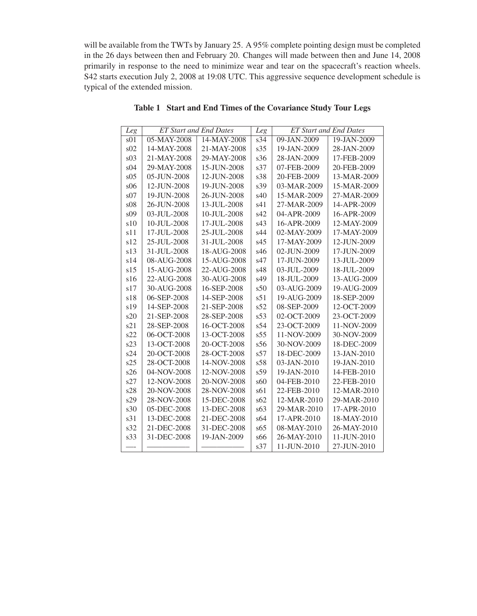will be available from the TWTs by January 25. A 95% complete pointing design must be completed in the 26 days between then and February 20. Changes will made between then and June 14, 2008 primarily in response to the need to minimize wear and tear on the spacecraft's reaction wheels. S42 starts execution July 2, 2008 at 19:08 UTC. This aggressive sequence development schedule is typical of the extended mission.

| Leg             | <b>ET Start and End Dates</b> |             | Leg | <b>ET Start and End Dates</b> |             |
|-----------------|-------------------------------|-------------|-----|-------------------------------|-------------|
| s <sub>01</sub> | 05-MAY-2008                   | 14-MAY-2008 | s34 | 09-JAN-2009                   | 19-JAN-2009 |
| s02             | 14-MAY-2008                   | 21-MAY-2008 | s35 | 19-JAN-2009                   | 28-JAN-2009 |
| s03             | 21-MAY-2008                   | 29-MAY-2008 | s36 | 28-JAN-2009                   | 17-FEB-2009 |
| s <sub>04</sub> | 29-MAY-2008                   | 15-JUN-2008 | s37 | 07-FEB-2009                   | 20-FEB-2009 |
| s05             | 05-JUN-2008                   | 12-JUN-2008 | s38 | 20-FEB-2009                   | 13-MAR-2009 |
| s06             | 12-JUN-2008                   | 19-JUN-2008 | s39 | 03-MAR-2009                   | 15-MAR-2009 |
| s07             | 19-JUN-2008                   | 26-JUN-2008 | s40 | 15-MAR-2009                   | 27-MAR-2009 |
| s08             | 26-JUN-2008                   | 13-JUL-2008 | s41 | 27-MAR-2009                   | 14-APR-2009 |
| s09             | 03-JUL-2008                   | 10-JUL-2008 | s42 | 04-APR-2009                   | 16-APR-2009 |
| s10             | 10-JUL-2008                   | 17-JUL-2008 | s43 | 16-APR-2009                   | 12-MAY-2009 |
| s11             | 17-JUL-2008                   | 25-JUL-2008 | s44 | 02-MAY-2009                   | 17-MAY-2009 |
| s12             | 25-JUL-2008                   | 31-JUL-2008 | s45 | 17-MAY-2009                   | 12-JUN-2009 |
| s13             | 31-JUL-2008                   | 18-AUG-2008 | s46 | 02-JUN-2009                   | 17-JUN-2009 |
| s14             | 08-AUG-2008                   | 15-AUG-2008 | s47 | 17-JUN-2009                   | 13-JUL-2009 |
| s15             | 15-AUG-2008                   | 22-AUG-2008 | s48 | 03-JUL-2009                   | 18-JUL-2009 |
| s16             | 22-AUG-2008                   | 30-AUG-2008 | s49 | 18-JUL-2009                   | 13-AUG-2009 |
| s17             | 30-AUG-2008                   | 16-SEP-2008 | s50 | 03-AUG-2009                   | 19-AUG-2009 |
| s18             | 06-SEP-2008                   | 14-SEP-2008 | s51 | 19-AUG-2009                   | 18-SEP-2009 |
| s19             | 14-SEP-2008                   | 21-SEP-2008 | s52 | 08-SEP-2009                   | 12-OCT-2009 |
| s20             | 21-SEP-2008                   | 28-SEP-2008 | s53 | 02-OCT-2009                   | 23-OCT-2009 |
| s21             | 28-SEP-2008                   | 16-OCT-2008 | s54 | 23-OCT-2009                   | 11-NOV-2009 |
| s22             | 06-OCT-2008                   | 13-OCT-2008 | s55 | 11-NOV-2009                   | 30-NOV-2009 |
| s23             | 13-OCT-2008                   | 20-OCT-2008 | s56 | 30-NOV-2009                   | 18-DEC-2009 |
| s24             | 20-OCT-2008                   | 28-OCT-2008 | s57 | 18-DEC-2009                   | 13-JAN-2010 |
| s25             | 28-OCT-2008                   | 14-NOV-2008 | s58 | 03-JAN-2010                   | 19-JAN-2010 |
| s26             | 04-NOV-2008                   | 12-NOV-2008 | s59 | 19-JAN-2010                   | 14-FEB-2010 |
| s27             | 12-NOV-2008                   | 20-NOV-2008 | s60 | 04-FEB-2010                   | 22-FEB-2010 |
| s28             | 20-NOV-2008                   | 28-NOV-2008 | s61 | 22-FEB-2010                   | 12-MAR-2010 |
| s29             | 28-NOV-2008                   | 15-DEC-2008 | s62 | 12-MAR-2010                   | 29-MAR-2010 |
| s30             | 05-DEC-2008                   | 13-DEC-2008 | s63 | 29-MAR-2010                   | 17-APR-2010 |
| s31             | 13-DEC-2008                   | 21-DEC-2008 | s64 | 17-APR-2010                   | 18-MAY-2010 |
| s32             | 21-DEC-2008                   | 31-DEC-2008 | s65 | 08-MAY-2010                   | 26-MAY-2010 |
| s33             | 31-DEC-2008                   | 19-JAN-2009 | s66 | 26-MAY-2010                   | 11-JUN-2010 |
|                 |                               |             | s37 | 11-JUN-2010                   | 27-JUN-2010 |

Table 1 Start and End Times of the Covariance Study Tour Legs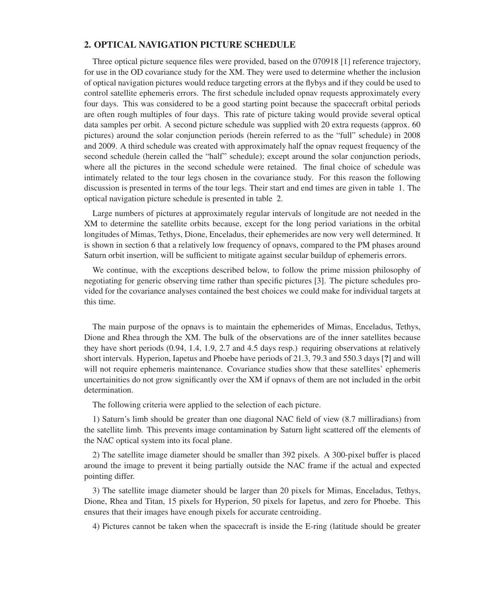### 2. OPTICAL NAVIGATION PICTURE SCHEDULE

Three optical picture sequence files were provided, based on the 070918 [1] reference trajectory, for use in the OD covariance study for the XM. They were used to determine whether the inclusion of optical navigation pictures would reduce targeting errors at the flybys and if they could be used to control satellite ephemeris errors. The first schedule included opnav requests approximately every four days. This was considered to be a good starting point because the spacecraft orbital periods are often rough multiples of four days. This rate of picture taking would provide several optical data samples per orbit. A second picture schedule was supplied with 20 extra requests (approx. 60 pictures) around the solar conjunction periods (herein referred to as the "full" schedule) in 2008 and 2009. A third schedule was created with approximately half the opnav request frequency of the second schedule (herein called the "half" schedule); except around the solar conjunction periods, where all the pictures in the second schedule were retained. The final choice of schedule was intimately related to the tour legs chosen in the covariance study. For this reason the following discussion is presented in terms of the tour legs. Their start and end times are given in table 1. The optical navigation picture schedule is presented in table 2.

Large numbers of pictures at approximately regular intervals of longitude are not needed in the XM to determine the satellite orbits because, except for the long period variations in the orbital longitudes of Mimas, Tethys, Dione, Enceladus, their ephemerides are now very well determined. It is shown in section 6 that a relatively low frequency of opnavs, compared to the PM phases around Saturn orbit insertion, will be sufficient to mitigate against secular buildup of ephemeris errors.

We continue, with the exceptions described below, to follow the prime mission philosophy of negotiating for generic observing time rather than specific pictures [3]. The picture schedules provided for the covariance analyses contained the best choices we could make for individual targets at this time.

The main purpose of the opnavs is to maintain the ephemerides of Mimas, Enceladus, Tethys, Dione and Rhea through the XM. The bulk of the observations are of the inner satellites because they have short periods (0.94, 1.4, 1.9, 2.7 and 4.5 days resp.) requiring observations at relatively short intervals. Hyperion, Iapetus and Phoebe have periods of 21.3, 79.3 and 550.3 days [?] and will will not require ephemeris maintenance. Covariance studies show that these satellites' ephemeris uncertainities do not grow significantly over the XM if opnavs of them are not included in the orbit determination.

The following criteria were applied to the selection of each picture.

1) Saturn's limb should be greater than one diagonal NAC field of view (8.7 milliradians) from the satellite limb. This prevents image contamination by Saturn light scattered off the elements of the NAC optical system into its focal plane.

2) The satellite image diameter should be smaller than 392 pixels. A 300-pixel buffer is placed around the image to prevent it being partially outside the NAC frame if the actual and expected pointing differ.

3) The satellite image diameter should be larger than 20 pixels for Mimas, Enceladus, Tethys, Dione, Rhea and Titan, 15 pixels for Hyperion, 50 pixels for Iapetus, and zero for Phoebe. This ensures that their images have enough pixels for accurate centroiding.

4) Pictures cannot be taken when the spacecraft is inside the E-ring (latitude should be greater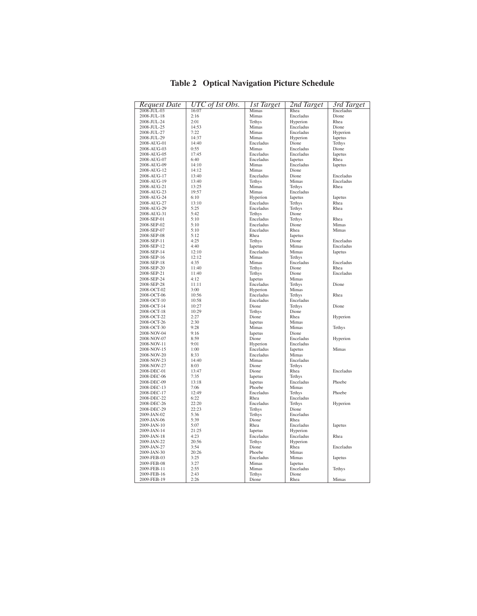| Request Date               | UTC of Ist Obs. | <b>Ist Target</b>      | 2nd Target         | 3rd Target |
|----------------------------|-----------------|------------------------|--------------------|------------|
| 2008-JUL-03                | 16:07           | Mimas                  | Rhea               | Enceladus  |
| 2008-JUL-18                | 2:16            | Mimas                  | Enceladus          | Dione      |
| 2008-JUL-24                | 2:01            | Tethys                 | Hyperion           | Rhea       |
| 2008-JUL-25                | 14:53           | Mimas                  | Enceladus          | Dione      |
| 2008-JUL-27                | 7:22            | Mimas                  | Enceladus          | Hyperion   |
| 2008-JUL-29                | 14:37           | Mimas                  | Hyperion           | Iapetus    |
| 2008-AUG-01                | 14:40           | Enceladus              | Dione              | Tethys     |
| 2008-AUG-03                | 0:55            | Mimas                  | Enceladus          | Dione      |
| 2008-AUG-05                | 17:45           | Enceladus              | Enceladus          | Iapetus    |
| 2008-AUG-07                | 6:40<br>14:10   | Enceladus<br>Mimas     | <b>Iapetus</b>     | Rhea       |
| 2008-AUG-09                | 14:12           | Mimas                  | Enceladus<br>Dione | Iapetus    |
| 2008-AUG-12<br>2008-AUG-17 | 13:40           | Enceladus              | Dione              | Enceladus  |
| 2008-AUG-19                | 13:40           | Tethys                 | Mimas              | Enceladus  |
| 2008-AUG-21                | 13:25           | Mimas                  | Tethys             | Rhea       |
| 2008-AUG-23                | 19:57           | Mimas                  | Enceladus          |            |
| 2008-AUG-24                | 6:10            | Hyperion               | Iapetus            | Iapetus    |
| 2008-AUG-27                | 13:10           | Enceladus              | Tethys             | Rhea       |
| 2008-AUG-29                | 5:25            | Enceladus              | Tethys             | Rhea       |
| 2008-AUG-31                | 5:42            | Tethys                 | Dione              |            |
| 2008-SEP-01                | 5:10            | Enceladus              | Tethys             | Rhea       |
| 2008-SEP-02                | 5:10            | Enceladus              | Dione              | Mimas      |
| 2008-SEP-07                | 5:10            | Enceladus              | Rhea               | Mimas      |
| 2008-SEP-08                | 5:12            | Rhea                   | Iapetus            |            |
| 2008-SEP-11                | 4:25            | Tethys                 | Dione              | Enceladus  |
| 2008-SEP-12                | 4:40            | Iapetus                | Mimas              | Enceladus  |
| 2008-SEP-14                | 12:10           | Enceladus              | Mimas              | Iapetus    |
| 2008-SEP-16                | 12:12           | Mimas                  | Tethys             |            |
| 2008-SEP-18                | 4:35            | Mimas                  | Enceladus          | Enceladus  |
| 2008-SEP-20                | 11:40           | Tethys                 | Dione              | Rhea       |
| 2008-SEP-21                | 11:40           | Tethys                 | Dione              | Enceladus  |
| 2008-SEP-24                | 4:12            | Iapetus                | Mimas              |            |
| 2008-SEP-28                | 11:11           | Enceladus              | Tethys             | Dione      |
| 2008-OCT-02                | 3:00            | Hyperion               | Mimas              |            |
| 2008-OCT-06                | 10:56           | Enceladus              | Tethys             | Rhea       |
| 2008-OCT-10                | 10:58           | Enceladus              | Enceladus          |            |
| 2008-OCT-14                | 10:27           | Dione                  | Tethys             | Dione      |
| 2008-OCT-18                | 10:29           | Tethys                 | Dione              |            |
| 2008-OCT-22                | 2:27            | Dione                  | Rhea               | Hyperion   |
| 2008-OCT-26                | 2:30            | Iapetus                | Mimas              |            |
| 2008-OCT-30                | 9:28            | Mimas                  | Mimas              | Tethys     |
| 2008-NOV-04                | 9:16            | Iapetus                | Dione              |            |
| 2008-NOV-07                | 8:59            | Dione                  | Enceladus          | Hyperion   |
| 2008-NOV-11                | 9:01            | Hyperion               | Enceladus          |            |
| 2008-NOV-15                | 1:00            | Enceladus<br>Enceladus | <b>Iapetus</b>     | Mimas      |
| 2008-NOV-20                | 8:33            | Mimas                  | Mimas<br>Enceladus |            |
| 2008-NOV-23<br>2008-NOV-27 | 14:40<br>8:03   | Dione                  | Tethys             |            |
| 2008-DEC-01                | 13:47           | Dione                  | Rhea               | Enceladus  |
| 2008-DEC-06                | 7:35            | Iapetus                | Tethys             |            |
| 2008-DEC-09                | 13:18           | Iapetus                | Enceladus          | Phoebe     |
| 2008-DEC-13                | 7:06            | Phoebe                 | Mimas              |            |
| 2008-DEC-17                | 12:49           | Enceladus              | Tethys             | Phoebe     |
| 2008-DEC-22                | 6:22            | Rhea                   | Enceladus          |            |
| 2008-DEC-26                | 22:20           | Enceladus              | Tethys             | Hyperion   |
| 2008-DEC-29                | 22:23           | Tethys                 | Dione              |            |
| 2009-JAN-02                | 5:36            | Tethys                 | Enceladus          |            |
| 2009-JAN-06                | 5:39            | Dione                  | Rhea               |            |
| 2009-JAN-10                | 5:07            | Rhea                   | Enceladus          | Iapetus    |
| 2009-JAN-14                | 21:25           | Iapetus                | Hyperion           |            |
| 2009-JAN-18                | 4:23            | Enceladus              | Enceladus          | Rhea       |
| 2009-JAN-22                | 20:56           | Tethys                 | Hyperion           |            |
| 2009-JAN-27                | 3:54            | Dione                  | Rhea               | Enceladus  |
| 2009-JAN-30                | 20:26           | Phoebe                 | Mimas              |            |
| 2009-FEB-03                | 3:25            | Enceladus              | Mimas              | Iapetus    |
| 2009-FEB-08                | 3:27            | Mimas                  | Iapetus            |            |
| 2009-FEB-11                | 2:55            | Mimas                  | Enceladus          | Tethys     |
| 2009-FEB-16                | 2:43            | Tethys                 | Dione              |            |
| 2009-FEB-19                | 2:26            | Dione                  | Rhea               | Mimas      |

Table 2 Optical Navigation Picture Schedule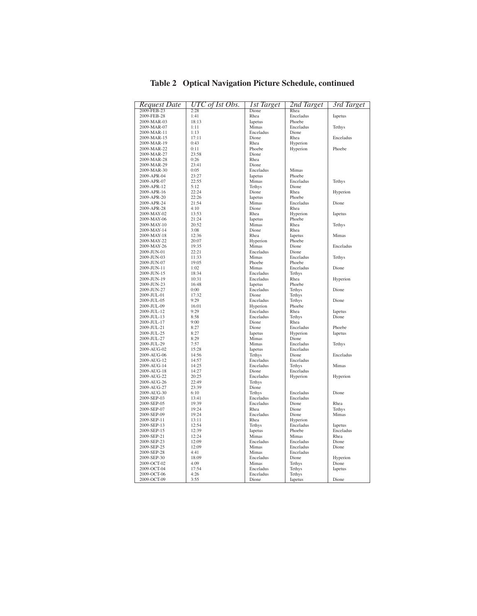| Request Date | UTC of Ist Obs. | 1st Target | 2nd Target | 3rd Target |
|--------------|-----------------|------------|------------|------------|
| 2009-FEB-23  | 2:28            | Dione      | Rhea       |            |
| 2009-FEB-28  | 1:41            | Rhea       | Enceladus  | Iapetus    |
| 2009-MAR-03  | 18:13           | Iapetus    | Phoebe     |            |
| 2009-MAR-07  | 1:11            | Mimas      | Enceladus  | Tethys     |
| 2009-MAR-11  | 1:13            | Enceladus  | Dione      |            |
| 2009-MAR-15  | 17:11           | Dione      | Rhea       | Enceladus  |
| 2009-MAR-19  | 0:43            | Rhea       | Hyperion   |            |
| 2009-MAR-22  | 0:11            | Phoebe     | Hyperion   | Phoebe     |
|              | 23:58           | Dione      |            |            |
| 2009-MAR-27  |                 |            |            |            |
| 2009-MAR-28  | 0:26            | Rhea       |            |            |
| 2009-MAR-29  | 23:41           | Dione      |            |            |
| 2009-MAR-30  | 0:05            | Enceladus  | Mimas      |            |
| 2009-APR-04  | 23:27           | Iapetus    | Phoebe     |            |
| 2009-APR-07  | 22:55           | Mimas      | Enceladus  | Tethys     |
| 2009-APR-12  | 5:12            | Tethys     | Dione      |            |
| 2009-APR-16  | 22:24           | Dione      | Rhea       | Hyperion   |
| 2009-APR-20  | 22:26           | Iapetus    | Phoebe     |            |
| 2009-APR-24  | 21:54           | Mimas      | Enceladus  | Dione      |
| 2009-APR-28  | 4:10            | Dione      | Rhea       |            |
| 2009-MAY-02  | 13:53           | Rhea       | Hyperion   | Iapetus    |
| 2009-MAY-06  | 21:24           | Iapetus    | Phoebe     |            |
| 2009-MAY-10  | 20:52           | Mimas      | Rhea       | Tethys     |
| 2009-MAY-14  | 3:08            | Dione      | Rhea       |            |
|              |                 |            |            |            |
| 2009-MAY-18  | 12:36           | Rhea       | Iapetus    | Mimas      |
| 2009-MAY-22  | 20:07           | Hyperion   | Phoebe     |            |
| 2009-MAY-26  | 19:35           | Mimas      | Dione      | Enceladus  |
| 2009-JUN-01  | 22:21           | Enceladus  | Dione      |            |
| 2009-JUN-03  | 11:33           | Mimas      | Enceladus  | Tethys     |
| 2009-JUN-07  | 19:05           | Phoebe     | Phoebe     |            |
| 2009-JUN-11  | 1:02            | Mimas      | Enceladus  | Dione      |
| 2009-JUN-15  | 18:34           | Enceladus  | Tethys     |            |
| 2009-JUN-19  | 10:31           | Enceladus  | Rhea       | Hyperion   |
| 2009-JUN-23  | 16:48           | Iapetus    | Phoebe     |            |
| 2009-JUN-27  | 0:00            | Enceladus  | Tethys     | Dione      |
| 2009-JUL-01  | 17:32           | Dione      | Tethys     |            |
| 2009-JUL-05  | 9:29            | Enceladus  | Tethys     | Dione      |
| 2009-JUL-09  | 16:01           | Hyperion   | Phoebe     |            |
| 2009-JUL-12  | 9:29            | Enceladus  | Rhea       | Iapetus    |
|              |                 | Enceladus  |            |            |
| 2009-JUL-13  | 8:58            |            | Tethys     | Dione      |
| 2009-JUL-17  | 9:00            | Dione      | Rhea       |            |
| 2009-JUL-21  | 8:27            | Dione      | Enceladus  | Phoebe     |
| 2009-JUL-25  | 8:27            | Iapetus    | Hyperion   | Iapetus    |
| 2009-JUL-27  | 8:29            | Mimas      | Dione      |            |
| 2009-JUL-29  | 7:57            | Mimas      | Enceladus  | Tethys     |
| 2009-AUG-02  | 15:28           | Iapetus    | Enceladus  |            |
| 2009-AUG-06  | 14:56           | Tethys     | Dione      | Enceladus  |
| 2009-AUG-12  | 14:57           | Enceladus  | Enceladus  |            |
| 2009-AUG-14  | 14:25           | Enceladus  | Tethys     | Mimas      |
| 2009-AUG-18  | 14:27           | Dione      | Enceladus  |            |
| 2009-AUG-22  | 20:25           | Enceladus  | Hyperion   | Hyperion   |
| 2009-AUG-26  | 22:49           | Tethys     |            |            |
| 2009-AUG-27  | 23:39           | Dione      |            |            |
| 2009-AUG-30  | 6:10            | Tethys     | Enceladus  | Dione      |
| 2009-SEP-03  | 13:41           | Enceladus  | Enceladus  |            |
| 2009-SEP-05  | 19:39           | Enceladus  | Dione      | Rhea       |
| 2009-SEP-07  | 19:24           | Rhea       | Dione      | Tethys     |
| 2009-SEP-09  | 19:24           | Enceladus  |            | Mimas      |
|              |                 |            | Dione      |            |
| 2009-SEP-11  | 13:11           | Rhea       | Hyperion   |            |
| 2009-SEP-13  | 12:54           | Tethys     | Enceladus  | Iapetus    |
| 2009-SEP-15  | 12:39           | Iapetus    | Phoebe     | Enceladus  |
| 2009-SEP-21  | 12:24           | Mimas      | Mimas      | Rhea       |
| 2009-SEP-23  | 12:09           | Enceladus  | Enceladus  | Dione      |
| 2009-SEP-25  | 12:09           | Mimas      | Enceladus  | Dione      |
| 2009-SEP-28  | 4:41            | Mimas      | Enceladus  |            |
| 2009-SEP-30  | 18:09           | Enceladus  | Dione      | Hyperion   |
| 2009-OCT-02  | 4:09            | Mimas      | Tethys     | Dione      |
| 2009-OCT-04  | 17:54           | Enceladus  | Tethys     | Iapetus    |
| 2009-OCT-06  | 4:26            | Enceladus  | Tethys     |            |
| 2009-OCT-09  | 3:55            | Dione      | Iapetus    | Dione      |

Table 2 Optical Navigation Picture Schedule, continued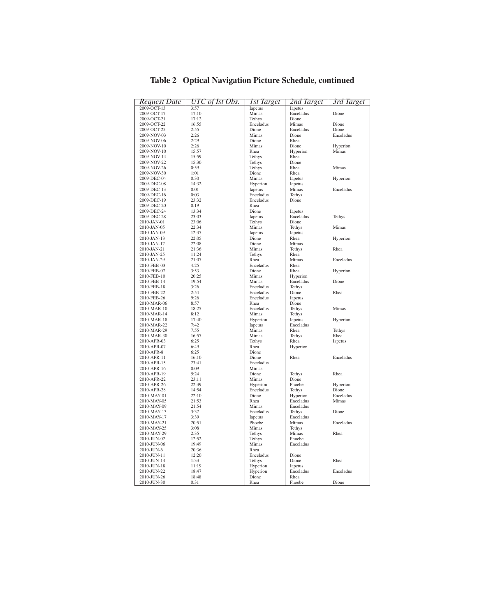| Request Date               | UTC of Ist Obs. | <b>Ist Target</b> | 2nd Target           | 3rd Target |
|----------------------------|-----------------|-------------------|----------------------|------------|
| 2009-OCT-13                | 3:57            | <b>Iapetus</b>    | <b>Iapetus</b>       |            |
| 2009-OCT-17                | 17:10           | Mimas             | Enceladus            | Dione      |
| 2009-OCT-21                | 17:12           | Tethys            | Dione                |            |
| 2009-OCT-22                | 16:55           | Enceladus         | Mimas                | Dione      |
| 2009-OCT-25                | 2:55            | Dione             | Enceladus            | Dione      |
| 2009-NOV-03                | 2:26            | Mimas             | Dione                | Enceladus  |
| 2009-NOV-06                | 2:29            | Dione             | Rhea                 |            |
| 2009-NOV-10                | 2:26            | Mimas             | Dione                | Hyperion   |
| 2009-NOV-10                | 15:57           | Rhea              | Hyperion             | Mimas      |
| 2009-NOV-14                | 15:59           | Tethys            | Rhea                 |            |
| 2009-NOV-22                | 15:30           | Tethys            | Dione                |            |
| 2009-NOV-26                | 0:59            | Tethys            | Rhea                 | Mimas      |
| 2009-NOV-30                | 1:01            | Dione             | Rhea                 |            |
| 2009-DEC-04                | 0:30            | Mimas             | Iapetus              | Hyperion   |
| 2009-DEC-08                | 14:32           | Hyperion          | Iapetus              |            |
| 2009-DEC-13                | 0:01            | Iapetus           | Mimas                | Enceladus  |
| 2009-DEC-16                | 0:03            | Enceladus         | Tethys               |            |
| 2009-DEC-19                | 23:32           | Enceladus         | Dione                |            |
| 2009-DEC-20                | 0:19            | Rhea              |                      |            |
| 2009-DEC-24                | 13:34           | Dione             | Iapetus              |            |
| 2009-DEC-28                | 23:03           | Iapetus           | Enceladus            | Tethys     |
| 2010-JAN-01                | 23:06           | Tethys            | Dione                |            |
| 2010-JAN-05                | 22:34           | Mimas             | Tethys               | Mimas      |
| 2010-JAN-09                | 12:37           | Iapetus           | Iapetus              |            |
| 2010-JAN-13                | 22:05           | Dione             | Rhea                 | Hyperion   |
| 2010-JAN-17                | 22:08           | Dione             | Mimas                |            |
| 2010-JAN-21                | 21:36           | Mimas             | Tethys               | Rhea       |
| 2010-JAN-25                | 11:24           | Tethys            | Rhea                 |            |
| 2010-JAN-29                | 21:07           | Rhea              | Mimas                | Enceladus  |
| 2010-FEB-03                | 4:25            | Enceladus         | Rhea                 |            |
| 2010-FEB-07                | 3:53            | Dione             | Rhea                 | Hyperion   |
| 2010-FEB-10                | 20:25           | Mimas             | Hyperion             |            |
| 2010-FEB-14                | 19:54           | Mimas             | Enceladus            | Dione      |
| 2010-FEB-18                | 3:26            | Enceladus         | Tethys               |            |
| 2010-FEB-22                | 2:54            | Enceladus         | Dione                | Rhea       |
| 2010-FEB-26                | 9:26            | Enceladus         | Iapetus              |            |
| 2010-MAR-06                | 8:57            | Rhea              | Dione                |            |
| 2010-MAR-10                | 18:25           | Enceladus         | Tethys               | Mimas      |
| 2010-MAR-14                | 8:12            | Mimas             | Tethys               |            |
| 2010-MAR-18                | 17:40<br>7:42   | Hyperion          | Iapetus<br>Enceladus | Hyperion   |
| 2010-MAR-22<br>2010-MAR-29 | 7:55            | Iapetus<br>Mimas  | Rhea                 | Tethys     |
| 2010-MAR-30                | 16:57           | Mimas             | Tethys               | Rhea       |
| 2010-APR-03                | 6:25            | Tethys            | Rhea                 | Iapetus    |
| 2010-APR-07                | 6:49            | Rhea              | Hyperion             |            |
| 2010-APR-8                 | 6:25            | Dione             |                      |            |
| 2010-APR-11                | 16:10           | Dione             | Rhea                 | Enceladus  |
| 2010-APR-15                | 23:41           | Enceladus         |                      |            |
| 2010-APR-16                | 0:09            | Mimas             |                      |            |
| 2010-APR-19                | 5:24            | Dione             | Tethys               | Rhea       |
| 2010-APR-22                | 23:11           | Mimas             | Dione                |            |
| 2010-APR-26                | 22:39           | Hyperion          | Phoebe               | Hyperion   |
| 2010-APR-28                | 14:54           | Enceladus         | Tethys               | Dione      |
| 2010-MAY-01                | 22:10           | Dione             | Hyperion             | Enceladus  |
| 2010-MAY-05                | 21:53           | Rhea              | Enceladus            | Mimas      |
| 2010-MAY-09                | 21:54           | Mimas             | Enceladus            |            |
| 2010-MAY-13                | 3:37            | Enceladus         | Tethys               | Dione      |
| 2010-MAY-17                | 3:39            | Iapetus           | Enceladus            |            |
| 2010-MAY-21                | 20:51           | Phoebe            | Mimas                | Enceladus  |
| 2010-MAY-25                | 3:08            | Mimas             | Tethys               |            |
| 2010-MAY-29                | 2:35            | Tethys            | Mimas                | Rhea       |
| 2010-JUN-02                | 12:52           | Tethys            | Phoebe               |            |
| 2010-JUN-06                | 19:49           | Mimas             | Enceladus            |            |
| 2010-JUN-6                 | 20:36           | Rhea              |                      |            |
| 2010-JUN-11                | 12:20           | Enceladus         | Dione                |            |
| 2010-JUN-14                | 1:33            | Tethys            | Dione                | Rhea       |
| 2010-JUN-18                | 11:19           | Hyperion          | Iapetus              |            |
| 2010-JUN-22                | 18:47           | Hyperion          | Enceladus            | Enceladus  |
| 2010-JUN-26                | 18:48           | Dione             | Rhea                 |            |
| 2010-JUN-30                | 0:31            | Rhea              | Phoebe               | Dione      |

Table 2 Optical Navigation Picture Schedule, continued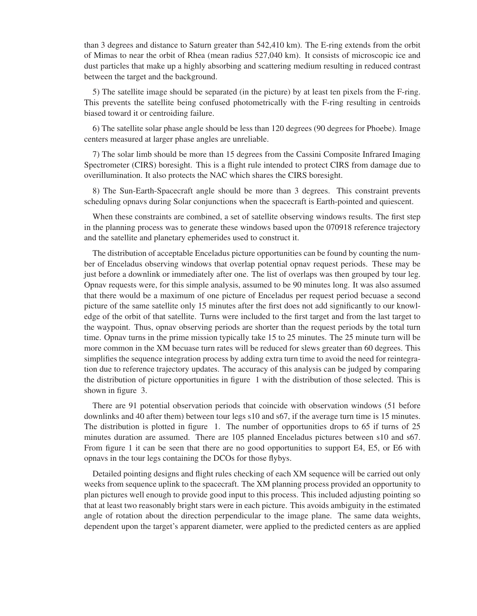than 3 degrees and distance to Saturn greater than 542,410 km). The E-ring extends from the orbit of Mimas to near the orbit of Rhea (mean radius 527,040 km). It consists of microscopic ice and dust particles that make up a highly absorbing and scattering medium resulting in reduced contrast between the target and the background.

5) The satellite image should be separated (in the picture) by at least ten pixels from the F-ring. This prevents the satellite being confused photometrically with the F-ring resulting in centroids biased toward it or centroiding failure.

6) The satellite solar phase angle should be less than 120 degrees (90 degrees for Phoebe). Image centers measured at larger phase angles are unreliable.

7) The solar limb should be more than 15 degrees from the Cassini Composite Infrared Imaging Spectrometer (CIRS) boresight. This is a flight rule intended to protect CIRS from damage due to overillumination. It also protects the NAC which shares the CIRS boresight.

8) The Sun-Earth-Spacecraft angle should be more than 3 degrees. This constraint prevents scheduling opnavs during Solar conjunctions when the spacecraft is Earth-pointed and quiescent.

When these constraints are combined, a set of satellite observing windows results. The first step in the planning process was to generate these windows based upon the 070918 reference trajectory and the satellite and planetary ephemerides used to construct it.

The distribution of acceptable Enceladus picture opportunities can be found by counting the number of Enceladus observing windows that overlap potential opnav request periods. These may be just before a downlink or immediately after one. The list of overlaps was then grouped by tour leg. Opnav requests were, for this simple analysis, assumed to be 90 minutes long. It was also assumed that there would be a maximum of one picture of Enceladus per request period becuase a second picture of the same satellite only 15 minutes after the first does not add significantly to our knowledge of the orbit of that satellite. Turns were included to the first target and from the last target to the waypoint. Thus, opnav observing periods are shorter than the request periods by the total turn time. Opnav turns in the prime mission typically take 15 to 25 minutes. The 25 minute turn will be more common in the XM becuase turn rates will be reduced for slews greater than 60 degrees. This simplifies the sequence integration process by adding extra turn time to avoid the need for reintegration due to reference trajectory updates. The accuracy of this analysis can be judged by comparing the distribution of picture opportunities in figure 1 with the distribution of those selected. This is shown in figure 3.

There are 91 potential observation periods that coincide with observation windows (51 before downlinks and 40 after them) between tour legs s10 and s67, if the average turn time is 15 minutes. The distribution is plotted in figure 1. The number of opportunities drops to 65 if turns of 25 minutes duration are assumed. There are 105 planned Enceladus pictures between s10 and s67. From figure 1 it can be seen that there are no good opportunities to support E4, E5, or E6 with opnavs in the tour legs containing the DCOs for those flybys.

Detailed pointing designs and flight rules checking of each XM sequence will be carried out only weeks from sequence uplink to the spacecraft. The XM planning process provided an opportunity to plan pictures well enough to provide good input to this process. This included adjusting pointing so that at least two reasonably bright stars were in each picture. This avoids ambiguity in the estimated angle of rotation about the direction perpendicular to the image plane. The same data weights, dependent upon the target's apparent diameter, were applied to the predicted centers as are applied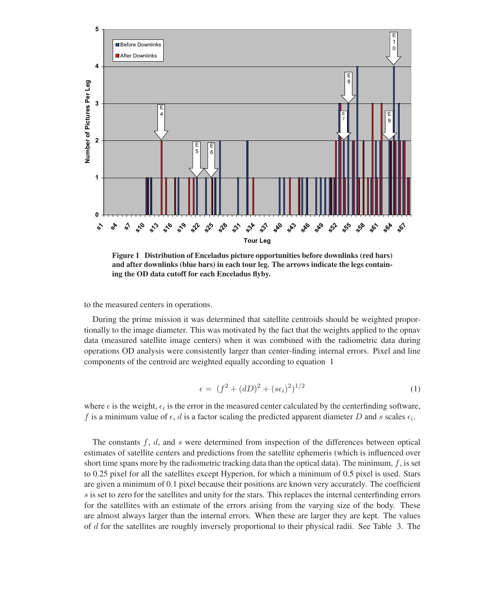

Figure 1 Distribution of Enceladus picture opportunities before downlinks (red bars) and after downlinks (blue bars) in each tour leg. The arrows indicate the legs containing the OD data cutoff for each Enceladus flyby.

to the measured centers in operations.

During the prime mission it was determined that satellite centroids should be weighted proportionally to the image diameter. This was motivated by the fact that the weights applied to the opnav data (measured satellite image centers) when it was combined with the radiometric data during operations OD analysis were consistently larger than center-finding internal errors. Pixel and line components of the centroid are weighted equally according to equation 1

$$
\epsilon = (f^2 + (dD)^2 + (s\epsilon_i)^2)^{1/2} \tag{1}
$$

where  $\epsilon$  is the weight,  $\epsilon_i$  is the error in the measured center calculated by the centerfinding software, f is a minimum value of  $\epsilon$ , d is a factor scaling the predicted apparent diameter D and s scales  $\epsilon_i$ .

The constants  $f, d$ , and s were determined from inspection of the differences between optical estimates of satellite centers and predictions from the satellite ephemeris (which is influenced over short time spans more by the radiometric tracking data than the optical data). The minimum,  $f$ , is set to 0.25 pixel for all the satellites except Hyperion, for which a minimum of 0.5 pixel is used. Stars are given a minimum of 0.1 pixel because their positions are known very accurately. The coefficient s is set to zero for the satellites and unity for the stars. This replaces the internal centerfinding errors for the satellites with an estimate of the errors arising from the varying size of the body. These are almost always larger than the internal errors. When these are larger they are kept. The values of d for the satellites are roughly inversely proportional to their physical radii. See Table 3. The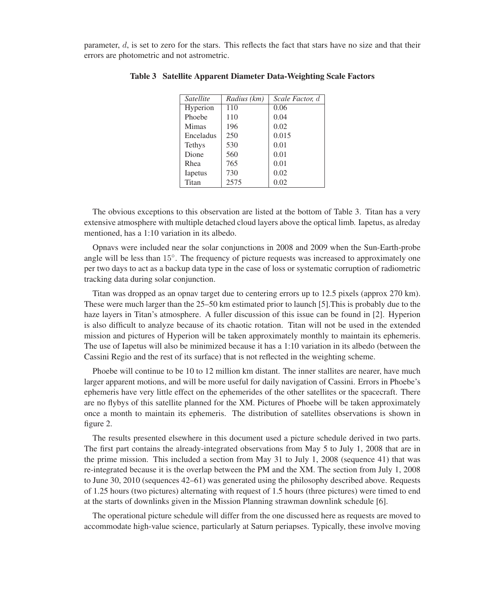parameter,  $d$ , is set to zero for the stars. This reflects the fact that stars have no size and that their errors are photometric and not astrometric.

| Satellite     | Radius (km) | Scale Factor, d |
|---------------|-------------|-----------------|
| Hyperion      | 110         | 0.06            |
| Phoebe        | 110         | 0.04            |
| Mimas         | 196         | 0.02            |
| Enceladus     | 250         | 0.015           |
| <b>Tethys</b> | 530         | 0.01            |
| Dione         | 560         | 0.01            |
| Rhea          | 765         | 0.01            |
| Iapetus       | 730         | 0.02            |
| Titan         | 2575        | 0.02            |

Table 3 Satellite Apparent Diameter Data-Weighting Scale Factors

The obvious exceptions to this observation are listed at the bottom of Table 3. Titan has a very extensive atmosphere with multiple detached cloud layers above the optical limb. Iapetus, as alreday mentioned, has a 1:10 variation in its albedo.

Opnavs were included near the solar conjunctions in 2008 and 2009 when the Sun-Earth-probe angle will be less than 15◦. The frequency of picture requests was increased to approximately one per two days to act as a backup data type in the case of loss or systematic corruption of radiometric tracking data during solar conjunction.

Titan was dropped as an opnav target due to centering errors up to 12.5 pixels (approx 270 km). These were much larger than the 25–50 km estimated prior to launch [5].This is probably due to the haze layers in Titan's atmosphere. A fuller discussion of this issue can be found in [2]. Hyperion is also difficult to analyze because of its chaotic rotation. Titan will not be used in the extended mission and pictures of Hyperion will be taken approximately monthly to maintain its ephemeris. The use of Iapetus will also be minimized because it has a 1:10 variation in its albedo (between the Cassini Regio and the rest of its surface) that is not reflected in the weighting scheme.

Phoebe will continue to be 10 to 12 million km distant. The inner stallites are nearer, have much larger apparent motions, and will be more useful for daily navigation of Cassini. Errors in Phoebe's ephemeris have very little effect on the ephemerides of the other satellites or the spacecraft. There are no flybys of this satellite planned for the XM. Pictures of Phoebe will be taken approximately once a month to maintain its ephemeris. The distribution of satellites observations is shown in figure 2.

The results presented elsewhere in this document used a picture schedule derived in two parts. The first part contains the already-integrated observations from May 5 to July 1, 2008 that are in the prime mission. This included a section from May 31 to July 1, 2008 (sequence 41) that was re-integrated because it is the overlap between the PM and the XM. The section from July 1, 2008 to June 30, 2010 (sequences 42–61) was generated using the philosophy described above. Requests of 1.25 hours (two pictures) alternating with request of 1.5 hours (three pictures) were timed to end at the starts of downlinks given in the Mission Planning strawman downlink schedule [6].

The operational picture schedule will differ from the one discussed here as requests are moved to accommodate high-value science, particularly at Saturn periapses. Typically, these involve moving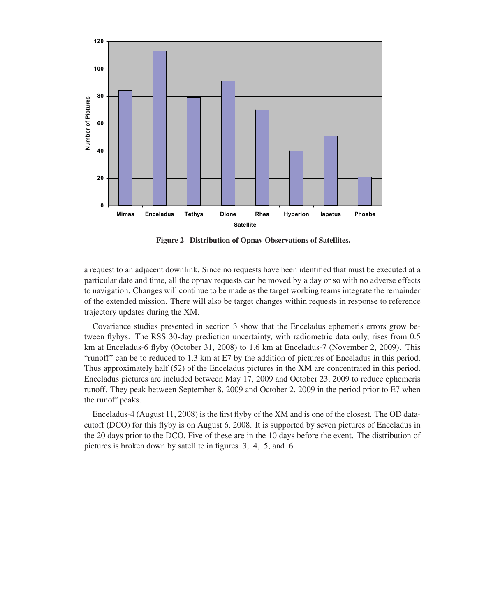

Figure 2 Distribution of Opnav Observations of Satellites.

a request to an adjacent downlink. Since no requests have been identified that must be executed at a particular date and time, all the opnav requests can be moved by a day or so with no adverse effects to navigation. Changes will continue to be made as the target working teams integrate the remainder of the extended mission. There will also be target changes within requests in response to reference trajectory updates during the XM.

Covariance studies presented in section 3 show that the Enceladus ephemeris errors grow between flybys. The RSS 30-day prediction uncertainty, with radiometric data only, rises from 0.5 km at Enceladus-6 flyby (October 31, 2008) to 1.6 km at Enceladus-7 (November 2, 2009). This "runoff" can be to reduced to 1.3 km at E7 by the addition of pictures of Enceladus in this period. Thus approximately half (52) of the Enceladus pictures in the XM are concentrated in this period. Enceladus pictures are included between May 17, 2009 and October 23, 2009 to reduce ephemeris runoff. They peak between September 8, 2009 and October 2, 2009 in the period prior to E7 when the runoff peaks.

Enceladus-4 (August 11, 2008) is the first flyby of the XM and is one of the closest. The OD datacutoff (DCO) for this flyby is on August 6, 2008. It is supported by seven pictures of Enceladus in the 20 days prior to the DCO. Five of these are in the 10 days before the event. The distribution of pictures is broken down by satellite in figures 3, 4, 5, and 6.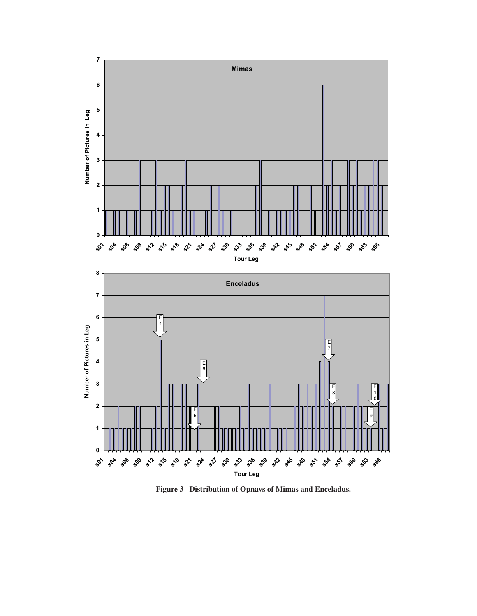

Figure 3 Distribution of Opnavs of Mimas and Enceladus.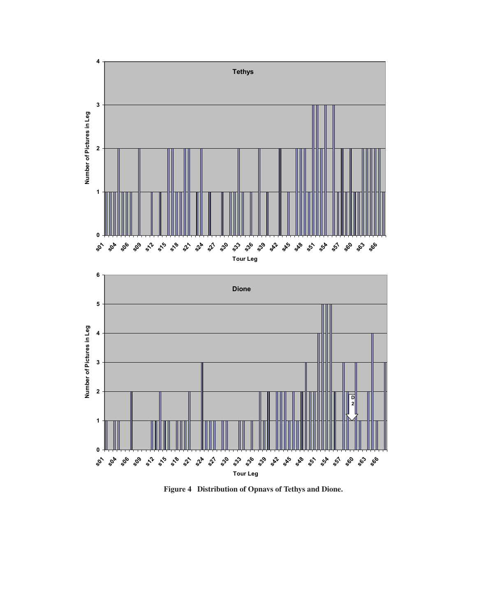

Figure 4 Distribution of Opnavs of Tethys and Dione.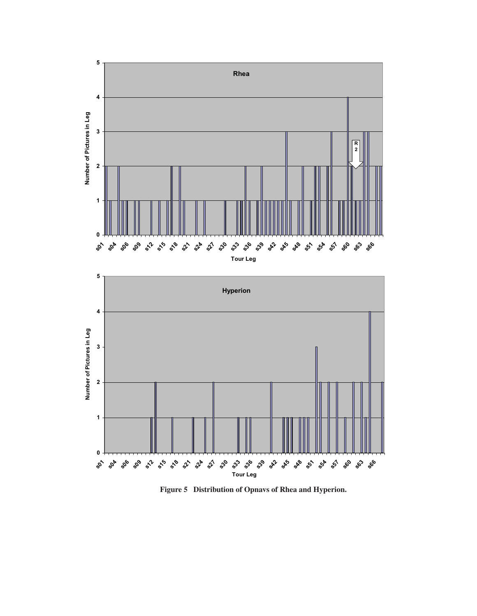

Figure 5 Distribution of Opnavs of Rhea and Hyperion.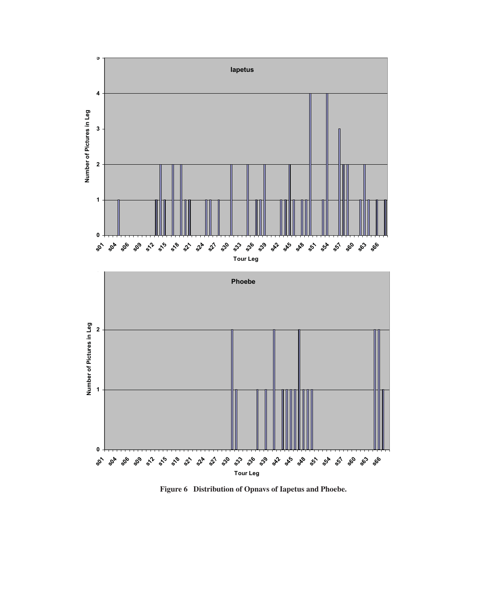

Figure 6 Distribution of Opnavs of Iapetus and Phoebe.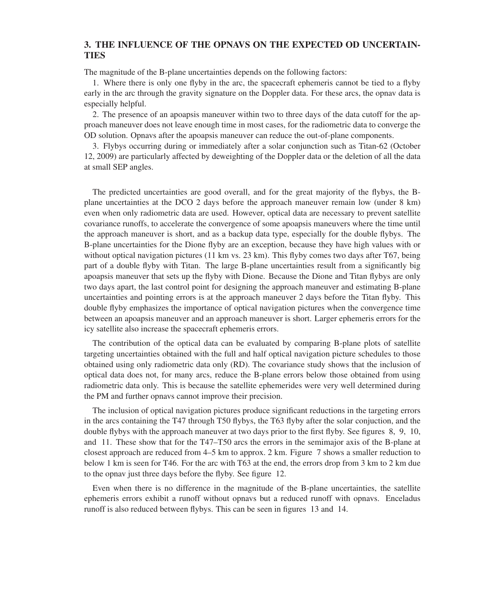## 3. THE INFLUENCE OF THE OPNAVS ON THE EXPECTED OD UNCERTAIN-**TIES**

The magnitude of the B-plane uncertainties depends on the following factors:

1. Where there is only one flyby in the arc, the spacecraft ephemeris cannot be tied to a flyby early in the arc through the gravity signature on the Doppler data. For these arcs, the opnav data is especially helpful.

2. The presence of an apoapsis maneuver within two to three days of the data cutoff for the approach maneuver does not leave enough time in most cases, for the radiometric data to converge the OD solution. Opnavs after the apoapsis maneuver can reduce the out-of-plane components.

3. Flybys occurring during or immediately after a solar conjunction such as Titan-62 (October 12, 2009) are particularly affected by deweighting of the Doppler data or the deletion of all the data at small SEP angles.

The predicted uncertainties are good overall, and for the great majority of the flybys, the Bplane uncertainties at the DCO 2 days before the approach maneuver remain low (under 8 km) even when only radiometric data are used. However, optical data are necessary to prevent satellite covariance runoffs, to accelerate the convergence of some apoapsis maneuvers where the time until the approach maneuver is short, and as a backup data type, especially for the double flybys. The B-plane uncertainties for the Dione flyby are an exception, because they have high values with or without optical navigation pictures (11 km vs. 23 km). This flyby comes two days after T67, being part of a double flyby with Titan. The large B-plane uncertainties result from a significantly big apoapsis maneuver that sets up the flyby with Dione. Because the Dione and Titan flybys are only two days apart, the last control point for designing the approach maneuver and estimating B-plane uncertainties and pointing errors is at the approach maneuver 2 days before the Titan flyby. This double flyby emphasizes the importance of optical navigation pictures when the convergence time between an apoapsis maneuver and an approach maneuver is short. Larger ephemeris errors for the icy satellite also increase the spacecraft ephemeris errors.

The contribution of the optical data can be evaluated by comparing B-plane plots of satellite targeting uncertainties obtained with the full and half optical navigation picture schedules to those obtained using only radiometric data only (RD). The covariance study shows that the inclusion of optical data does not, for many arcs, reduce the B-plane errors below those obtained from using radiometric data only. This is because the satellite ephemerides were very well determined during the PM and further opnavs cannot improve their precision.

The inclusion of optical navigation pictures produce significant reductions in the targeting errors in the arcs containing the T47 through T50 flybys, the T63 flyby after the solar conjuction, and the double flybys with the approach maneuver at two days prior to the first flyby. See figures 8, 9, 10, and 11. These show that for the T47–T50 arcs the errors in the semimajor axis of the B-plane at closest approach are reduced from 4–5 km to approx. 2 km. Figure 7 shows a smaller reduction to below 1 km is seen for T46. For the arc with T63 at the end, the errors drop from 3 km to 2 km due to the opnav just three days before the flyby. See figure 12.

Even when there is no difference in the magnitude of the B-plane uncertainties, the satellite ephemeris errors exhibit a runoff without opnavs but a reduced runoff with opnavs. Enceladus runoff is also reduced between flybys. This can be seen in figures 13 and 14.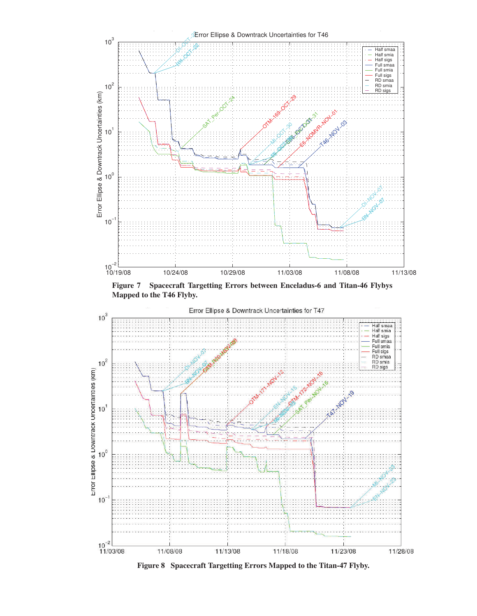

Figure 7 Spacecraft Targetting Errors between Enceladus-6 and Titan-46 Flybys Mapped to the T46 Flyby.



Figure 8 Spacecraft Targetting Errors Mapped to the Titan-47 Flyby.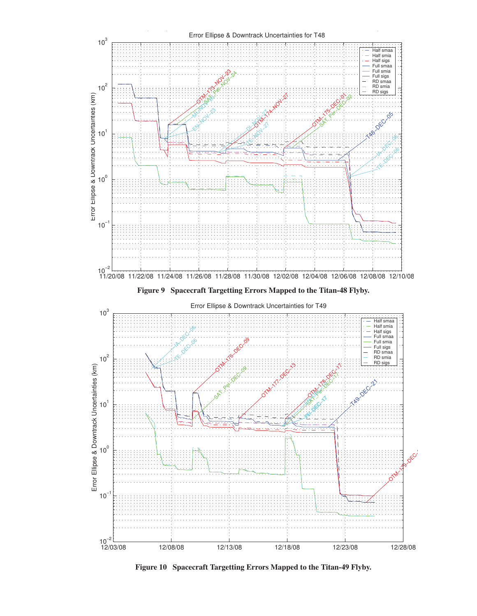

Figure 10 Spacecraft Targetting Errors Mapped to the Titan-49 Flyby.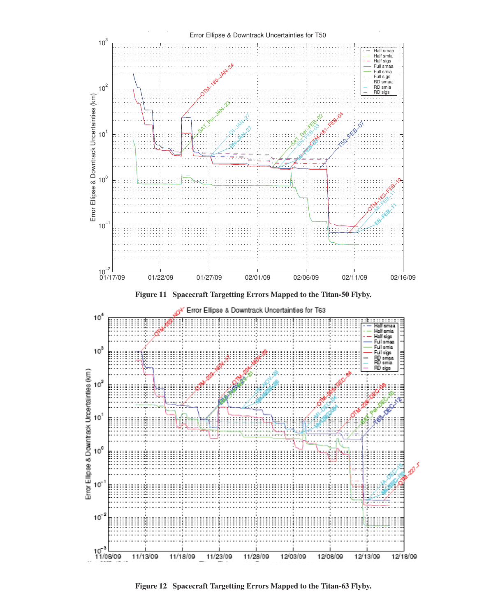

Figure 12 Spacecraft Targetting Errors Mapped to the Titan-63 Flyby.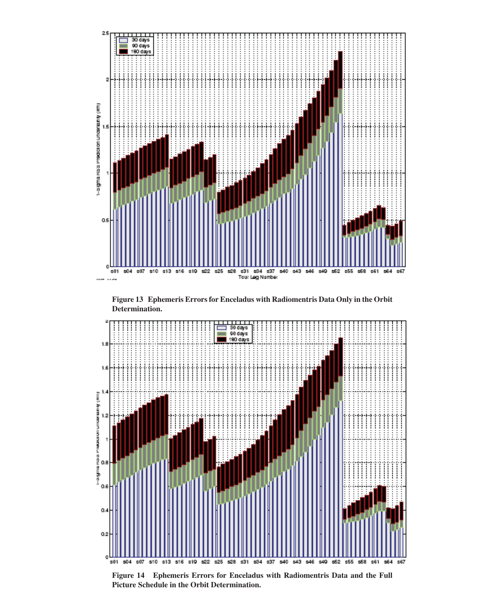

Figure 13 Ephemeris Errors for Enceladus with Radiomentris Data Only in the Orbit Determination.



Figure 14 Ephemeris Errors for Enceladus with Radiomentris Data and the Full Picture Schedule in the Orbit Determination.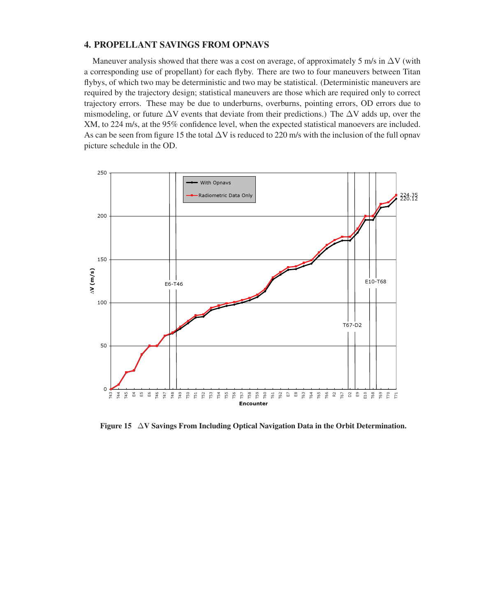## 4. PROPELLANT SAVINGS FROM OPNAVS

Maneuver analysis showed that there was a cost on average, of approximately 5 m/s in  $\Delta V$  (with a corresponding use of propellant) for each flyby. There are two to four maneuvers between Titan flybys, of which two may be deterministic and two may be statistical. (Deterministic maneuvers are required by the trajectory design; statistical maneuvers are those which are required only to correct trajectory errors. These may be due to underburns, overburns, pointing errors, OD errors due to mismodeling, or future  $\Delta V$  events that deviate from their predictions.) The  $\Delta V$  adds up, over the XM, to 224 m/s, at the 95% confidence level, when the expected statistical manoevers are included. As can be seen from figure 15 the total  $\Delta V$  is reduced to 220 m/s with the inclusion of the full opnav picture schedule in the OD.



Figure 15  $\Delta V$  Savings From Including Optical Navigation Data in the Orbit Determination.